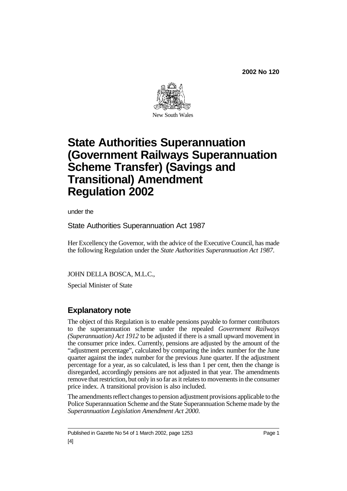

# **State Authorities Superannuation (Government Railways Superannuation Scheme Transfer) (Savings and Transitional) Amendment Regulation 2002**

under the

State Authorities Superannuation Act 1987

Her Excellency the Governor, with the advice of the Executive Council, has made the following Regulation under the *State Authorities Superannuation Act 1987*.

JOHN DELLA BOSCA, M.L.C.,

Special Minister of State

## **Explanatory note**

The object of this Regulation is to enable pensions payable to former contributors to the superannuation scheme under the repealed *Government Railways (Superannuation) Act 1912* to be adjusted if there is a small upward movement in the consumer price index. Currently, pensions are adjusted by the amount of the "adjustment percentage", calculated by comparing the index number for the June quarter against the index number for the previous June quarter. If the adjustment percentage for a year, as so calculated, is less than 1 per cent, then the change is disregarded, accordingly pensions are not adjusted in that year. The amendments remove that restriction, but only in so far as it relates to movements in the consumer price index. A transitional provision is also included.

The amendments reflect changes to pension adjustment provisions applicable to the Police Superannuation Scheme and the State Superannuation Scheme made by the *Superannuation Legislation Amendment Act 2000*.

Published in Gazette No 54 of 1 March 2002, page 1253 Page 1 [4]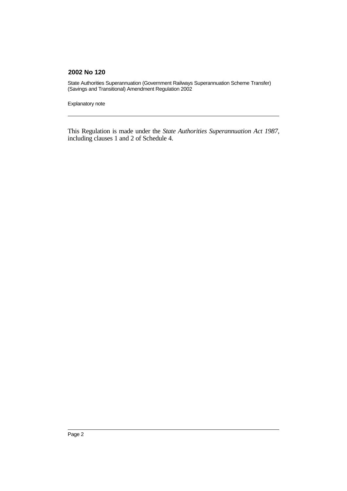State Authorities Superannuation (Government Railways Superannuation Scheme Transfer) (Savings and Transitional) Amendment Regulation 2002

Explanatory note

This Regulation is made under the *State Authorities Superannuation Act 1987*, including clauses 1 and 2 of Schedule 4.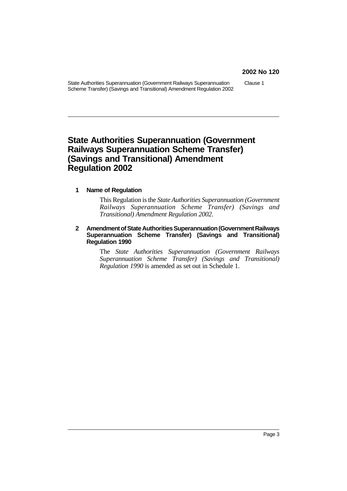State Authorities Superannuation (Government Railways Superannuation Scheme Transfer) (Savings and Transitional) Amendment Regulation 2002

Clause 1

## **State Authorities Superannuation (Government Railways Superannuation Scheme Transfer) (Savings and Transitional) Amendment Regulation 2002**

#### **1 Name of Regulation**

This Regulation is the *State Authorities Superannuation (Government Railways Superannuation Scheme Transfer) (Savings and Transitional) Amendment Regulation 2002*.

#### 2 Amendment of State Authorities Superannuation (Government Railways **Superannuation Scheme Transfer) (Savings and Transitional) Regulation 1990**

The *State Authorities Superannuation (Government Railways Superannuation Scheme Transfer) (Savings and Transitional) Regulation 1990* is amended as set out in Schedule 1.